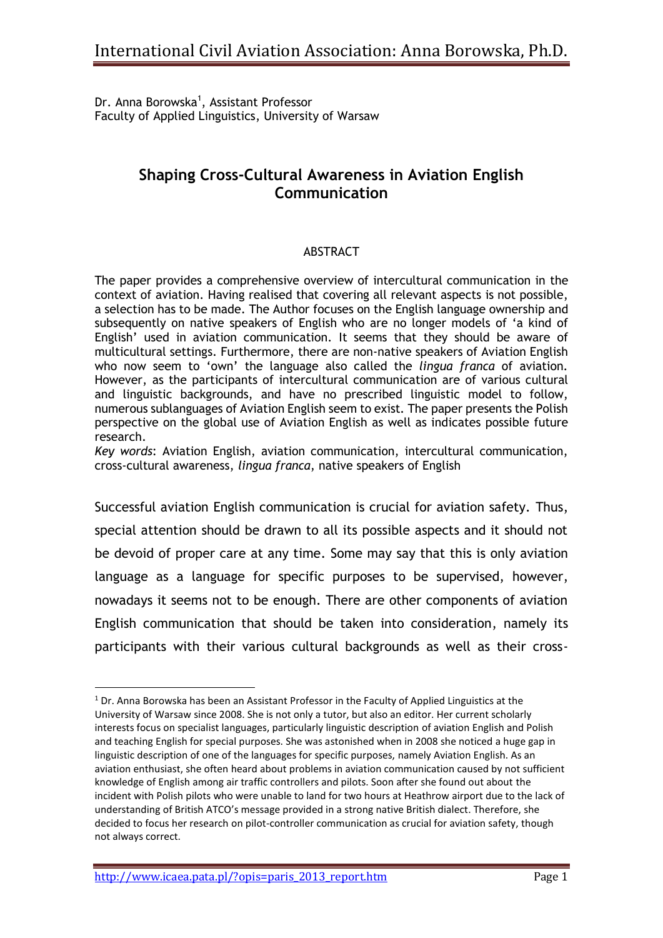Dr. Anna Borowska<sup>1</sup>, Assistant Professor Faculty of Applied Linguistics, University of Warsaw

## **Shaping Cross-Cultural Awareness in Aviation English Communication**

## ABSTRACT

The paper provides a comprehensive overview of intercultural communication in the context of aviation. Having realised that covering all relevant aspects is not possible, a selection has to be made. The Author focuses on the English language ownership and subsequently on native speakers of English who are no longer models of 'a kind of English' used in aviation communication. It seems that they should be aware of multicultural settings. Furthermore, there are non-native speakers of Aviation English who now seem to 'own' the language also called the *lingua franca* of aviation*.*  However, as the participants of intercultural communication are of various cultural and linguistic backgrounds, and have no prescribed linguistic model to follow, numerous sublanguages of Aviation English seem to exist*.* The paper presents the Polish perspective on the global use of Aviation English as well as indicates possible future research.

*Key words*: Aviation English, aviation communication, intercultural communication, cross-cultural awareness, *lingua franca*, native speakers of English

Successful aviation English communication is crucial for aviation safety. Thus, special attention should be drawn to all its possible aspects and it should not be devoid of proper care at any time. Some may say that this is only aviation language as a language for specific purposes to be supervised, however, nowadays it seems not to be enough. There are other components of aviation English communication that should be taken into consideration, namely its participants with their various cultural backgrounds as well as their cross-

**.** 

 $1$  Dr. Anna Borowska has been an Assistant Professor in the Faculty of Applied Linguistics at the University of Warsaw since 2008. She is not only a tutor, but also an editor. Her current scholarly interests focus on specialist languages, particularly linguistic description of aviation English and Polish and teaching English for special purposes. She was astonished when in 2008 she noticed a huge gap in linguistic description of one of the languages for specific purposes, namely Aviation English. As an aviation enthusiast, she often heard about problems in aviation communication caused by not sufficient knowledge of English among air traffic controllers and pilots. Soon after she found out about the incident with Polish pilots who were unable to land for two hours at Heathrow airport due to the lack of understanding of British ATCO's message provided in a strong native British dialect. Therefore, she decided to focus her research on pilot-controller communication as crucial for aviation safety, though not always correct.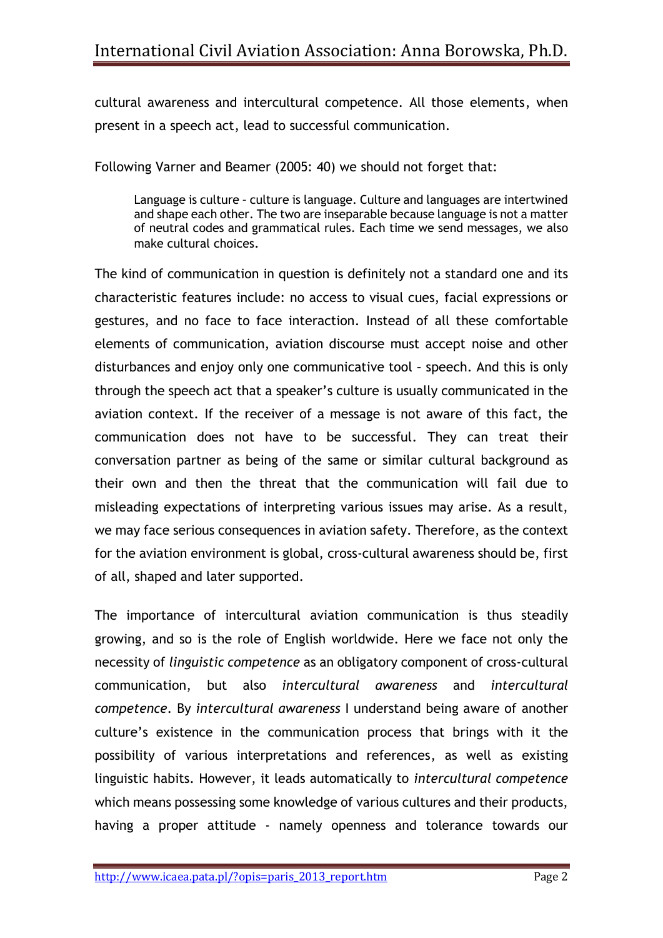cultural awareness and intercultural competence. All those elements, when present in a speech act, lead to successful communication.

Following Varner and Beamer (2005: 40) we should not forget that:

Language is culture *–* culture is language. Culture and languages are intertwined and shape each other. The two are inseparable because language is not a matter of neutral codes and grammatical rules. Each time we send messages, we also make cultural choices.

The kind of communication in question is definitely not a standard one and its characteristic features include: no access to visual cues, facial expressions or gestures, and no face to face interaction. Instead of all these comfortable elements of communication, aviation discourse must accept noise and other disturbances and enjoy only one communicative tool *–* speech. And this is only through the speech act that a speaker's culture is usually communicated in the aviation context. If the receiver of a message is not aware of this fact, the communication does not have to be successful. They can treat their conversation partner as being of the same or similar cultural background as their own and then the threat that the communication will fail due to misleading expectations of interpreting various issues may arise. As a result, we may face serious consequences in aviation safety. Therefore, as the context for the aviation environment is global, cross-cultural awareness should be, first of all, shaped and later supported.

The importance of intercultural aviation communication is thus steadily growing, and so is the role of English worldwide. Here we face not only the necessity of *linguistic competence* as an obligatory component of cross-cultural communication, but also *intercultural awareness* and *intercultural competence*. By *intercultural awareness* I understand being aware of another culture's existence in the communication process that brings with it the possibility of various interpretations and references, as well as existing linguistic habits. However, it leads automatically to *intercultural competence* which means possessing some knowledge of various cultures and their products, having a proper attitude - namely openness and tolerance towards our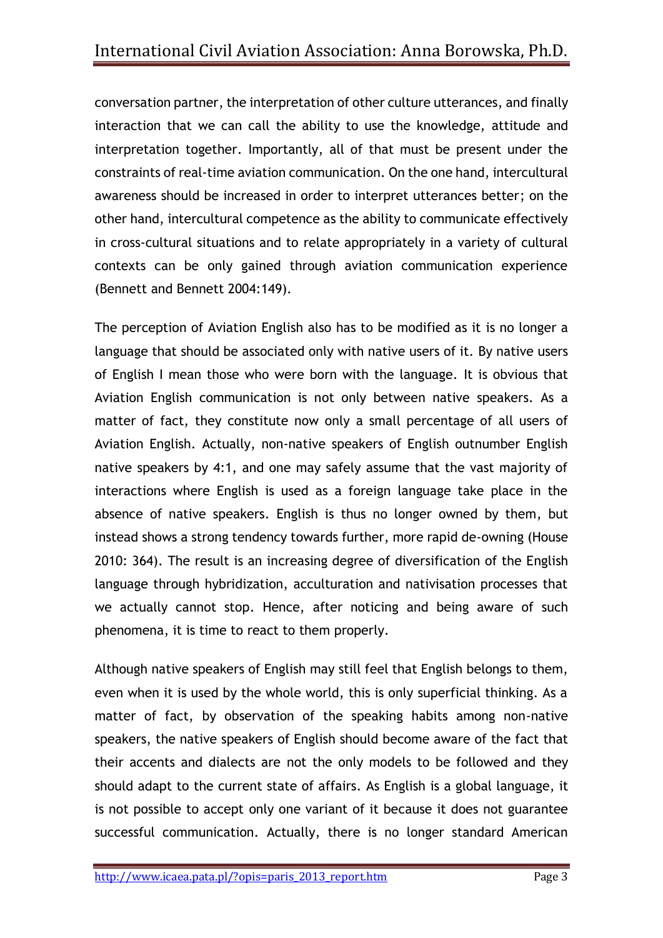conversation partner, the interpretation of other culture utterances, and finally interaction that we can call the ability to use the knowledge, attitude and interpretation together. Importantly, all of that must be present under the constraints of real-time aviation communication. On the one hand, intercultural awareness should be increased in order to interpret utterances better; on the other hand, intercultural competence as the ability to communicate effectively in cross-cultural situations and to relate appropriately in a variety of cultural contexts can be only gained through aviation communication experience (Bennett and Bennett 2004:149).

The perception of Aviation English also has to be modified as it is no longer a language that should be associated only with native users of it. By native users of English I mean those who were born with the language. It is obvious that Aviation English communication is not only between native speakers. As a matter of fact, they constitute now only a small percentage of all users of Aviation English. Actually, non-native speakers of English outnumber English native speakers by 4:1, and one may safely assume that the vast majority of interactions where English is used as a foreign language take place in the absence of native speakers. English is thus no longer owned by them, but instead shows a strong tendency towards further, more rapid de-owning (House 2010: 364). The result is an increasing degree of diversification of the English language through hybridization, acculturation and nativisation processes that we actually cannot stop. Hence, after noticing and being aware of such phenomena, it is time to react to them properly.

Although native speakers of English may still feel that English belongs to them, even when it is used by the whole world, this is only superficial thinking. As a matter of fact, by observation of the speaking habits among non-native speakers, the native speakers of English should become aware of the fact that their accents and dialects are not the only models to be followed and they should adapt to the current state of affairs. As English is a global language, it is not possible to accept only one variant of it because it does not guarantee successful communication. Actually, there is no longer standard American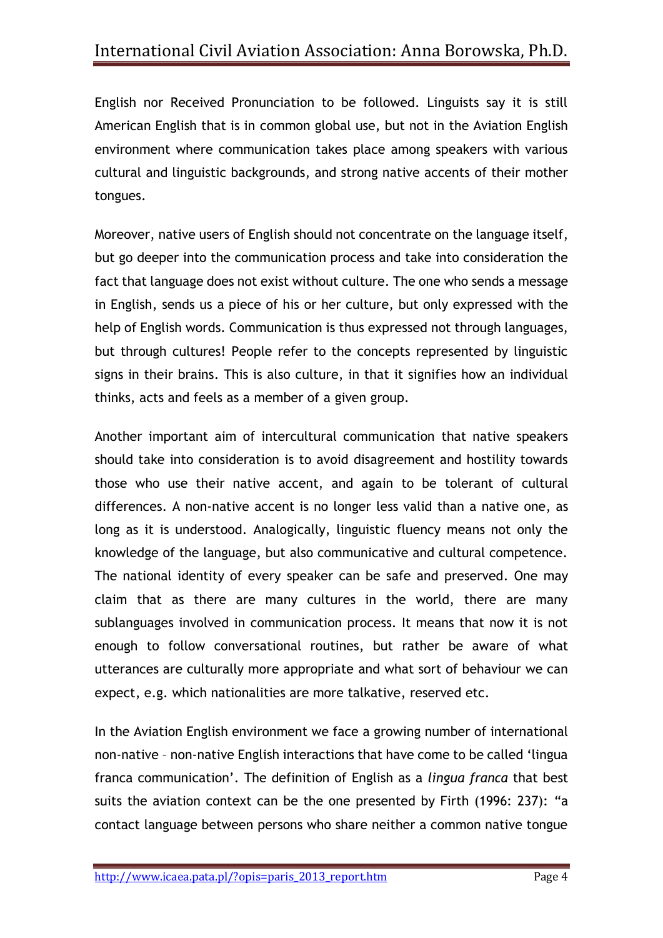English nor Received Pronunciation to be followed. Linguists say it is still American English that is in common global use, but not in the Aviation English environment where communication takes place among speakers with various cultural and linguistic backgrounds, and strong native accents of their mother tongues.

Moreover, native users of English should not concentrate on the language itself, but go deeper into the communication process and take into consideration the fact that language does not exist without culture. The one who sends a message in English, sends us a piece of his or her culture, but only expressed with the help of English words. Communication is thus expressed not through languages, but through cultures! People refer to the concepts represented by linguistic signs in their brains. This is also culture, in that it signifies how an individual thinks, acts and feels as a member of a given group.

Another important aim of intercultural communication that native speakers should take into consideration is to avoid disagreement and hostility towards those who use their native accent, and again to be tolerant of cultural differences. A non-native accent is no longer less valid than a native one, as long as it is understood. Analogically, linguistic fluency means not only the knowledge of the language, but also communicative and cultural competence. The national identity of every speaker can be safe and preserved. One may claim that as there are many cultures in the world, there are many sublanguages involved in communication process. It means that now it is not enough to follow conversational routines, but rather be aware of what utterances are culturally more appropriate and what sort of behaviour we can expect, e.g. which nationalities are more talkative, reserved etc.

In the Aviation English environment we face a growing number of international non-native – non-native English interactions that have come to be called 'lingua franca communication'. The definition of English as a *lingua franca* that best suits the aviation context can be the one presented by Firth (1996: 237): "a contact language between persons who share neither a common native tongue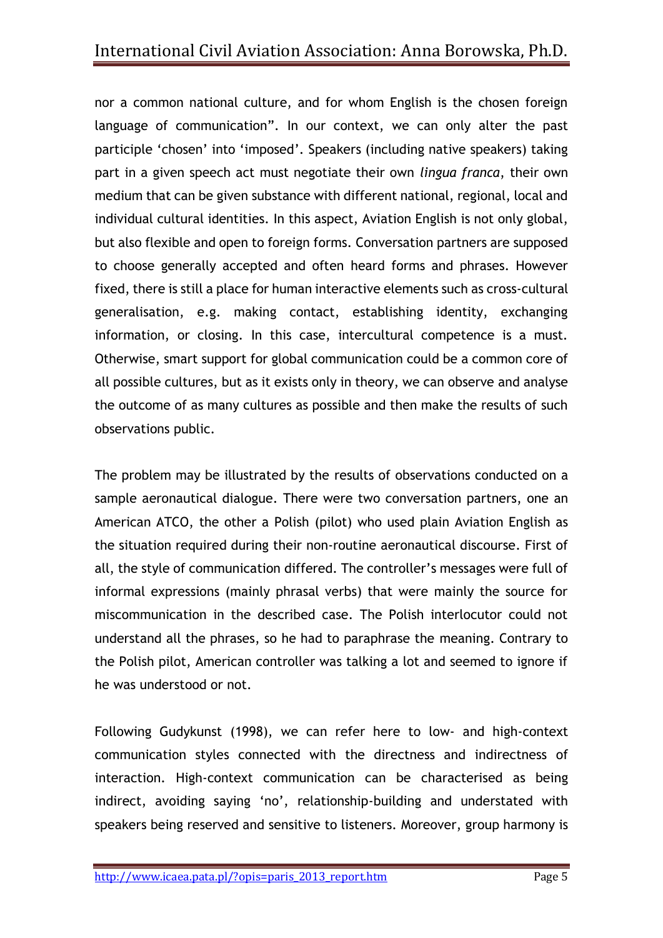nor a common national culture, and for whom English is the chosen foreign language of communication". In our context, we can only alter the past participle 'chosen' into 'imposed'. Speakers (including native speakers) taking part in a given speech act must negotiate their own *lingua franca*, their own medium that can be given substance with different national, regional, local and individual cultural identities. In this aspect, Aviation English is not only global, but also flexible and open to foreign forms. Conversation partners are supposed to choose generally accepted and often heard forms and phrases. However fixed, there is still a place for human interactive elements such as cross-cultural generalisation, e.g. making contact, establishing identity, exchanging information, or closing. In this case, intercultural competence is a must. Otherwise, smart support for global communication could be a common core of all possible cultures, but as it exists only in theory, we can observe and analyse the outcome of as many cultures as possible and then make the results of such observations public.

The problem may be illustrated by the results of observations conducted on a sample aeronautical dialogue. There were two conversation partners, one an American ATCO, the other a Polish (pilot) who used plain Aviation English as the situation required during their non-routine aeronautical discourse. First of all, the style of communication differed. The controller's messages were full of informal expressions (mainly phrasal verbs) that were mainly the source for miscommunication in the described case. The Polish interlocutor could not understand all the phrases, so he had to paraphrase the meaning. Contrary to the Polish pilot, American controller was talking a lot and seemed to ignore if he was understood or not.

Following Gudykunst (1998), we can refer here to low- and high-context communication styles connected with the directness and indirectness of interaction. High-context communication can be characterised as being indirect, avoiding saying 'no', relationship-building and understated with speakers being reserved and sensitive to listeners. Moreover, group harmony is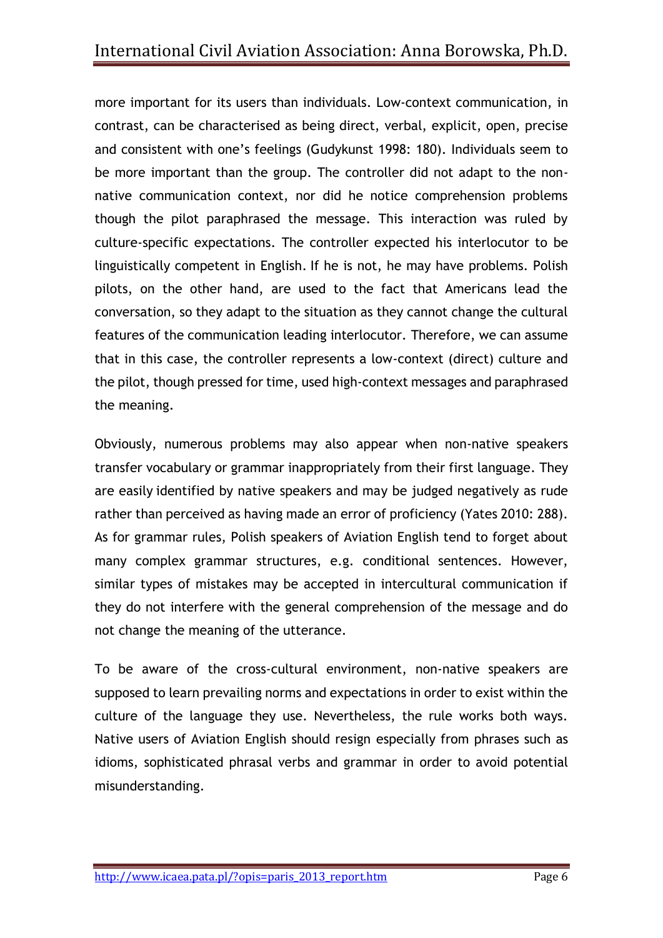more important for its users than individuals. Low-context communication, in contrast, can be characterised as being direct, verbal, explicit, open, precise and consistent with one's feelings (Gudykunst 1998: 180). Individuals seem to be more important than the group. The controller did not adapt to the nonnative communication context, nor did he notice comprehension problems though the pilot paraphrased the message. This interaction was ruled by culture-specific expectations. The controller expected his interlocutor to be linguistically competent in English. If he is not, he may have problems. Polish pilots, on the other hand, are used to the fact that Americans lead the conversation, so they adapt to the situation as they cannot change the cultural features of the communication leading interlocutor. Therefore, we can assume that in this case, the controller represents a low-context (direct) culture and the pilot, though pressed for time, used high-context messages and paraphrased the meaning.

Obviously, numerous problems may also appear when non-native speakers transfer vocabulary or grammar inappropriately from their first language. They are easily identified by native speakers and may be judged negatively as rude rather than perceived as having made an error of proficiency (Yates 2010: 288). As for grammar rules, Polish speakers of Aviation English tend to forget about many complex grammar structures, e.g. conditional sentences. However, similar types of mistakes may be accepted in intercultural communication if they do not interfere with the general comprehension of the message and do not change the meaning of the utterance.

To be aware of the cross-cultural environment, non-native speakers are supposed to learn prevailing norms and expectations in order to exist within the culture of the language they use. Nevertheless, the rule works both ways. Native users of Aviation English should resign especially from phrases such as idioms, sophisticated phrasal verbs and grammar in order to avoid potential misunderstanding.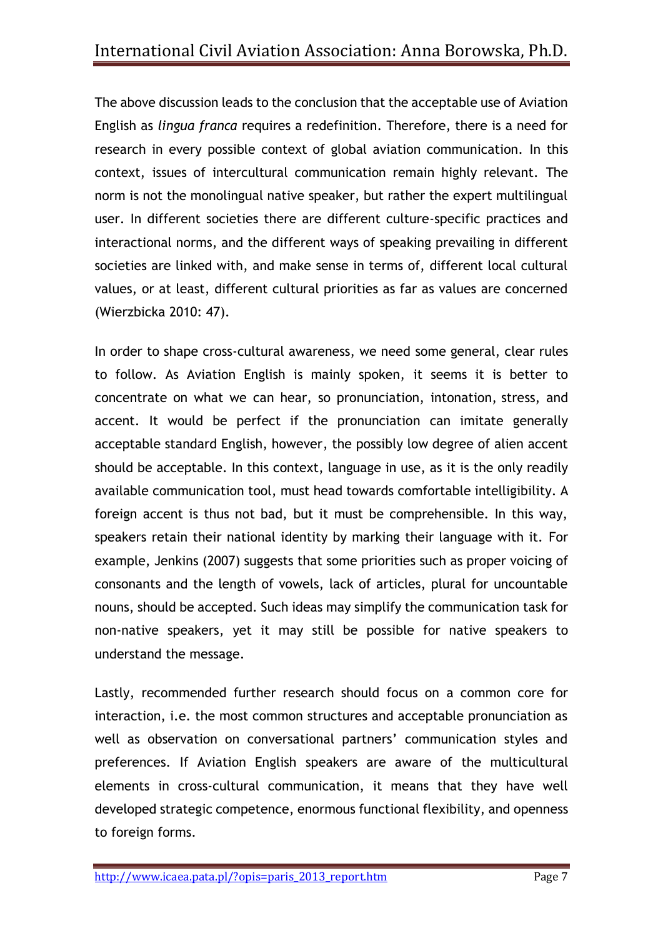The above discussion leads to the conclusion that the acceptable use of Aviation English as *lingua franca* requires a redefinition. Therefore, there is a need for research in every possible context of global aviation communication. In this context, issues of intercultural communication remain highly relevant. The norm is not the monolingual native speaker, but rather the expert multilingual user. In different societies there are different culture-specific practices and interactional norms, and the different ways of speaking prevailing in different societies are linked with, and make sense in terms of, different local cultural values, or at least, different cultural priorities as far as values are concerned (Wierzbicka 2010: 47).

In order to shape cross-cultural awareness, we need some general, clear rules to follow. As Aviation English is mainly spoken, it seems it is better to concentrate on what we can hear, so pronunciation, intonation, stress, and accent. It would be perfect if the pronunciation can imitate generally acceptable standard English, however, the possibly low degree of alien accent should be acceptable. In this context, language in use, as it is the only readily available communication tool, must head towards comfortable intelligibility. A foreign accent is thus not bad, but it must be comprehensible. In this way, speakers retain their national identity by marking their language with it. For example, Jenkins (2007) suggests that some priorities such as proper voicing of consonants and the length of vowels, lack of articles, plural for uncountable nouns, should be accepted. Such ideas may simplify the communication task for non-native speakers, yet it may still be possible for native speakers to understand the message.

Lastly, recommended further research should focus on a common core for interaction, i.e. the most common structures and acceptable pronunciation as well as observation on conversational partners' communication styles and preferences. If Aviation English speakers are aware of the multicultural elements in cross-cultural communication, it means that they have well developed strategic competence, enormous functional flexibility, and openness to foreign forms.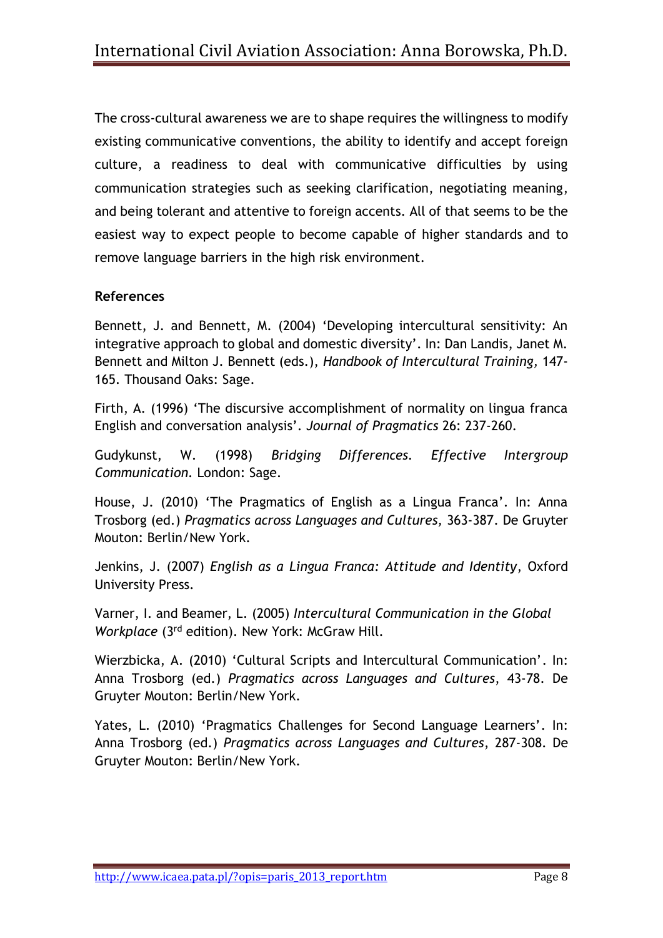The cross-cultural awareness we are to shape requires the willingness to modify existing communicative conventions, the ability to identify and accept foreign culture, a readiness to deal with communicative difficulties by using communication strategies such as seeking clarification, negotiating meaning, and being tolerant and attentive to foreign accents. All of that seems to be the easiest way to expect people to become capable of higher standards and to remove language barriers in the high risk environment.

## **References**

Bennett, J. and Bennett, M. (2004) 'Developing intercultural sensitivity: An integrative approach to global and domestic diversity'. In: Dan Landis, Janet M. Bennett and Milton J. Bennett (eds.), *Handbook of Intercultural Training,* 147- 165. Thousand Oaks: Sage.

Firth, A. (1996) 'The discursive accomplishment of normality on lingua franca English and conversation analysis'. *Journal of Pragmatics* 26: 237-260.

Gudykunst, W. (1998) *Bridging Differences. Effective Intergroup Communication.* London: Sage.

House, J. (2010) 'The Pragmatics of English as a Lingua Franca'. In: Anna Trosborg (ed.) *Pragmatics across Languages and Cultures,* 363-387. De Gruyter Mouton: Berlin/New York.

Jenkins, J. (2007) *English as a Lingua Franca: Attitude and Identity*, Oxford University Press.

Varner, I. and Beamer, L. (2005) *Intercultural Communication in the Global Workplace* (3rd edition). New York: McGraw Hill.

Wierzbicka, A. (2010) 'Cultural Scripts and Intercultural Communication'. In: Anna Trosborg (ed.) *Pragmatics across Languages and Cultures*, 43-78. De Gruyter Mouton: Berlin/New York.

Yates, L. (2010) 'Pragmatics Challenges for Second Language Learners'. In: Anna Trosborg (ed.) *Pragmatics across Languages and Cultures*, 287-308. De Gruyter Mouton: Berlin/New York.